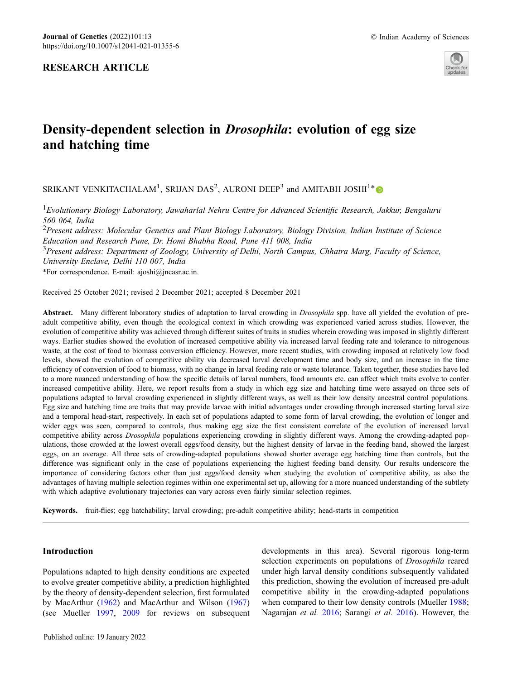# RESEARCH ARTICLE



# Density-dependent selection in Drosophila: evolution of egg size and hatching time

SRIKANT VENKITACHALAM<sup>1</sup>, SRIJAN DAS<sup>2</sup>, AURONI DEEP<sup>3</sup> and AMITABH JOSHI<sup>1\*</sup>

<sup>1</sup> Evolutionary Biology Laboratory, Jawaharlal Nehru Centre for Advanced Scientific Research, Jakkur, Bengaluru 560 064, India

<sup>2</sup>Present address: Molecular Genetics and Plant Biology Laboratory, Biology Division, Indian Institute of Science Education and Research Pune, Dr. Homi Bhabha Road, Pune 411 008, India

<sup>3</sup>Present address: Department of Zoology, University of Delhi, North Campus, Chhatra Marg, Faculty of Science, University Enclave, Delhi 110 007, India

\*For correspondence. E-mail: ajoshi@jncasr.ac.in.

Received 25 October 2021; revised 2 December 2021; accepted 8 December 2021

Abstract. Many different laboratory studies of adaptation to larval crowding in *Drosophila* spp. have all yielded the evolution of preadult competitive ability, even though the ecological context in which crowding was experienced varied across studies. However, the evolution of competitive ability was achieved through different suites of traits in studies wherein crowding was imposed in slightly different ways. Earlier studies showed the evolution of increased competitive ability via increased larval feeding rate and tolerance to nitrogenous waste, at the cost of food to biomass conversion efficiency. However, more recent studies, with crowding imposed at relatively low food levels, showed the evolution of competitive ability via decreased larval development time and body size, and an increase in the time efficiency of conversion of food to biomass, with no change in larval feeding rate or waste tolerance. Taken together, these studies have led to a more nuanced understanding of how the specific details of larval numbers, food amounts etc. can affect which traits evolve to confer increased competitive ability. Here, we report results from a study in which egg size and hatching time were assayed on three sets of populations adapted to larval crowding experienced in slightly different ways, as well as their low density ancestral control populations. Egg size and hatching time are traits that may provide larvae with initial advantages under crowding through increased starting larval size and a temporal head-start, respectively. In each set of populations adapted to some form of larval crowding, the evolution of longer and wider eggs was seen, compared to controls, thus making egg size the first consistent correlate of the evolution of increased larval competitive ability across Drosophila populations experiencing crowding in slightly different ways. Among the crowding-adapted populations, those crowded at the lowest overall eggs/food density, but the highest density of larvae in the feeding band, showed the largest eggs, on an average. All three sets of crowding-adapted populations showed shorter average egg hatching time than controls, but the difference was significant only in the case of populations experiencing the highest feeding band density. Our results underscore the importance of considering factors other than just eggs/food density when studying the evolution of competitive ability, as also the advantages of having multiple selection regimes within one experimental set up, allowing for a more nuanced understanding of the subtlety with which adaptive evolutionary trajectories can vary across even fairly similar selection regimes.

Keywords. fruit-flies; egg hatchability; larval crowding; pre-adult competitive ability; head-starts in competition

# Introduction

Populations adapted to high density conditions are expected to evolve greater competitive ability, a prediction highlighted by the theory of density-dependent selection, first formulated by MacArthur (1962) and MacArthur and Wilson (1967) (see Mueller 1997, 2009 for reviews on subsequent developments in this area). Several rigorous long-term selection experiments on populations of Drosophila reared under high larval density conditions subsequently validated this prediction, showing the evolution of increased pre-adult competitive ability in the crowding-adapted populations when compared to their low density controls (Mueller 1988; Nagarajan et al. 2016; Sarangi et al. 2016). However, the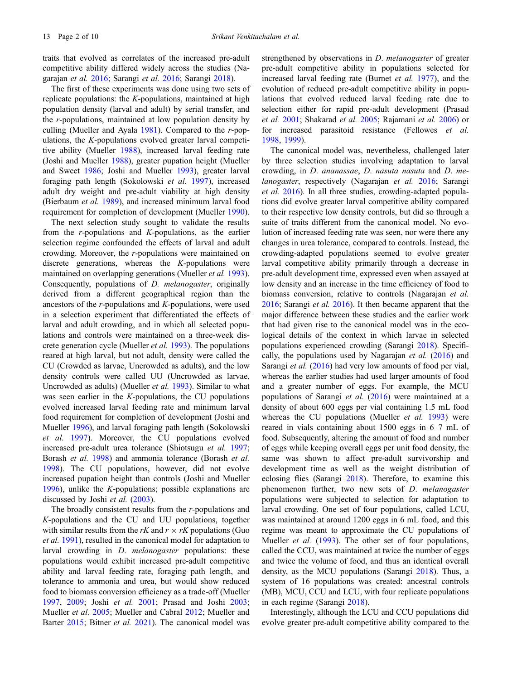traits that evolved as correlates of the increased pre-adult competitive ability differed widely across the studies (Nagarajan et al. 2016; Sarangi et al. 2016; Sarangi 2018).

The first of these experiments was done using two sets of replicate populations: the  $K$ -populations, maintained at high population density (larval and adult) by serial transfer, and the r-populations, maintained at low population density by culling (Mueller and Ayala  $1981$ ). Compared to the r-populations, the K-populations evolved greater larval competitive ability (Mueller 1988), increased larval feeding rate (Joshi and Mueller 1988), greater pupation height (Mueller and Sweet 1986; Joshi and Mueller 1993), greater larval foraging path length (Sokolowski et al. 1997), increased adult dry weight and pre-adult viability at high density (Bierbaum et al. 1989), and increased minimum larval food requirement for completion of development (Mueller 1990).

The next selection study sought to validate the results from the  $r$ -populations and  $K$ -populations, as the earlier selection regime confounded the effects of larval and adult crowding. Moreover, the r-populations were maintained on discrete generations, whereas the K-populations were maintained on overlapping generations (Mueller *et al.* 1993). Consequently, populations of D. melanogaster, originally derived from a different geographical region than the ancestors of the  $r$ -populations and  $K$ -populations, were used in a selection experiment that differentiated the effects of larval and adult crowding, and in which all selected populations and controls were maintained on a three-week discrete generation cycle (Mueller et al. 1993). The populations reared at high larval, but not adult, density were called the CU (Crowded as larvae, Uncrowded as adults), and the low density controls were called UU (Uncrowded as larvae, Uncrowded as adults) (Mueller et al. 1993). Similar to what was seen earlier in the K-populations, the CU populations evolved increased larval feeding rate and minimum larval food requirement for completion of development (Joshi and Mueller 1996), and larval foraging path length (Sokolowski et al. 1997). Moreover, the CU populations evolved increased pre-adult urea tolerance (Shiotsugu et al. 1997; Borash et al. 1998) and ammonia tolerance (Borash et al. 1998). The CU populations, however, did not evolve increased pupation height than controls (Joshi and Mueller 1996), unlike the K-populations; possible explanations are discussed by Joshi et al. (2003).

The broadly consistent results from the  $r$ -populations and K-populations and the CU and UU populations, together with similar results from the rK and  $r \times rK$  populations (Guo et al. 1991), resulted in the canonical model for adaptation to larval crowding in D. melanogaster populations: these populations would exhibit increased pre-adult competitive ability and larval feeding rate, foraging path length, and tolerance to ammonia and urea, but would show reduced food to biomass conversion efficiency as a trade-off (Mueller 1997, 2009; Joshi et al. 2001; Prasad and Joshi 2003; Mueller et al. 2005; Mueller and Cabral 2012; Mueller and Barter 2015; Bitner et al. 2021). The canonical model was

strengthened by observations in D. *melanogaster* of greater pre-adult competitive ability in populations selected for increased larval feeding rate (Burnet et al. 1977), and the evolution of reduced pre-adult competitive ability in populations that evolved reduced larval feeding rate due to selection either for rapid pre-adult development (Prasad et al. 2001; Shakarad et al. 2005; Rajamani et al. 2006) or for increased parasitoid resistance (Fellowes et al. 1998, 1999).

The canonical model was, nevertheless, challenged later by three selection studies involving adaptation to larval crowding, in D. ananassae, D. nasuta nasuta and D. melanogaster, respectively (Nagarajan et al. 2016; Sarangi et al. 2016). In all three studies, crowding-adapted populations did evolve greater larval competitive ability compared to their respective low density controls, but did so through a suite of traits different from the canonical model. No evolution of increased feeding rate was seen, nor were there any changes in urea tolerance, compared to controls. Instead, the crowding-adapted populations seemed to evolve greater larval competitive ability primarily through a decrease in pre-adult development time, expressed even when assayed at low density and an increase in the time efficiency of food to biomass conversion, relative to controls (Nagarajan et al. 2016; Sarangi et al. 2016). It then became apparent that the major difference between these studies and the earlier work that had given rise to the canonical model was in the ecological details of the context in which larvae in selected populations experienced crowding (Sarangi 2018). Specifically, the populations used by Nagarajan et al. (2016) and Sarangi *et al.* (2016) had very low amounts of food per vial, whereas the earlier studies had used larger amounts of food and a greater number of eggs. For example, the MCU populations of Sarangi et al. (2016) were maintained at a density of about 600 eggs per vial containing 1.5 mL food whereas the CU populations (Mueller *et al.* 1993) were reared in vials containing about 1500 eggs in 6–7 mL of food. Subsequently, altering the amount of food and number of eggs while keeping overall eggs per unit food density, the same was shown to affect pre-adult survivorship and development time as well as the weight distribution of eclosing flies (Sarangi 2018). Therefore, to examine this phenomenon further, two new sets of D. melanogaster populations were subjected to selection for adaptation to larval crowding. One set of four populations, called LCU, was maintained at around 1200 eggs in 6 mL food, and this regime was meant to approximate the CU populations of Mueller *et al.* (1993). The other set of four populations, called the CCU, was maintained at twice the number of eggs and twice the volume of food, and thus an identical overall density, as the MCU populations (Sarangi 2018). Thus, a system of 16 populations was created: ancestral controls (MB), MCU, CCU and LCU, with four replicate populations in each regime (Sarangi 2018).

Interestingly, although the LCU and CCU populations did evolve greater pre-adult competitive ability compared to the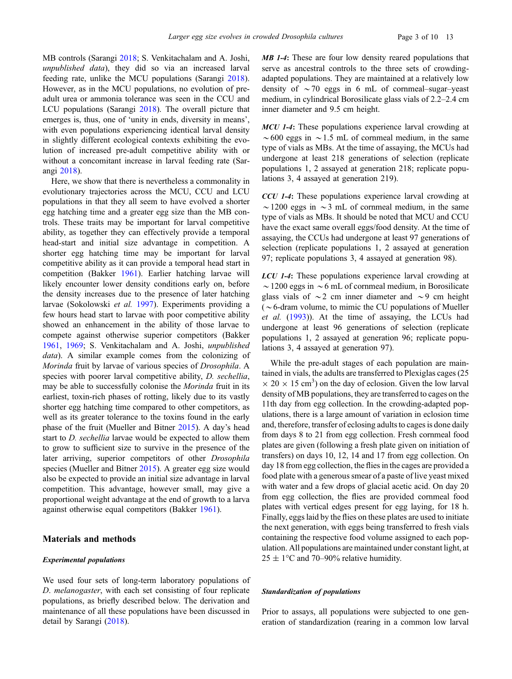MB controls (Sarangi 2018; S. Venkitachalam and A. Joshi, unpublished data), they did so via an increased larval feeding rate, unlike the MCU populations (Sarangi 2018). However, as in the MCU populations, no evolution of preadult urea or ammonia tolerance was seen in the CCU and LCU populations (Sarangi 2018). The overall picture that emerges is, thus, one of 'unity in ends, diversity in means', with even populations experiencing identical larval density in slightly different ecological contexts exhibiting the evolution of increased pre-adult competitive ability with or without a concomitant increase in larval feeding rate (Sarangi 2018).

Here, we show that there is nevertheless a commonality in evolutionary trajectories across the MCU, CCU and LCU populations in that they all seem to have evolved a shorter egg hatching time and a greater egg size than the MB controls. These traits may be important for larval competitive ability, as together they can effectively provide a temporal head-start and initial size advantage in competition. A shorter egg hatching time may be important for larval competitive ability as it can provide a temporal head start in competition (Bakker 1961). Earlier hatching larvae will likely encounter lower density conditions early on, before the density increases due to the presence of later hatching larvae (Sokolowski et al. 1997). Experiments providing a few hours head start to larvae with poor competitive ability showed an enhancement in the ability of those larvae to compete against otherwise superior competitors (Bakker 1961, 1969; S. Venkitachalam and A. Joshi, unpublished data). A similar example comes from the colonizing of Morinda fruit by larvae of various species of Drosophila. A species with poorer larval competitive ability, *D. sechellia*, may be able to successfully colonise the *Morinda* fruit in its earliest, toxin-rich phases of rotting, likely due to its vastly shorter egg hatching time compared to other competitors, as well as its greater tolerance to the toxins found in the early phase of the fruit (Mueller and Bitner 2015). A day's head start to D. sechellia larvae would be expected to allow them to grow to sufficient size to survive in the presence of the later arriving, superior competitors of other Drosophila species (Mueller and Bitner 2015). A greater egg size would also be expected to provide an initial size advantage in larval competition. This advantage, however small, may give a proportional weight advantage at the end of growth to a larva against otherwise equal competitors (Bakker 1961).

# Materials and methods

### Experimental populations

We used four sets of long-term laboratory populations of D. melanogaster, with each set consisting of four replicate populations, as briefly described below. The derivation and maintenance of all these populations have been discussed in detail by Sarangi (2018).

MB 1-4: These are four low density reared populations that serve as ancestral controls to the three sets of crowdingadapted populations. They are maintained at a relatively low density of  $\sim$  70 eggs in 6 mL of cornmeal–sugar–yeast medium, in cylindrical Borosilicate glass vials of 2.2–2.4 cm inner diameter and 9.5 cm height.

MCU 1-4: These populations experience larval crowding at  $\sim$  600 eggs in  $\sim$  1.5 mL of cornmeal medium, in the same type of vials as MBs. At the time of assaying, the MCUs had undergone at least 218 generations of selection (replicate populations 1, 2 assayed at generation 218; replicate populations 3, 4 assayed at generation 219).

CCU 1-4: These populations experience larval crowding at  $\sim$ 1200 eggs in  $\sim$ 3 mL of cornmeal medium, in the same type of vials as MBs. It should be noted that MCU and CCU have the exact same overall eggs/food density. At the time of assaying, the CCUs had undergone at least 97 generations of selection (replicate populations 1, 2 assayed at generation 97; replicate populations 3, 4 assayed at generation 98).

LCU 1-4: These populations experience larval crowding at  $\sim$  1200 eggs in  $\sim$  6 mL of cornmeal medium, in Borosilicate glass vials of  $\sim$ 2 cm inner diameter and  $\sim$ 9 cm height ( $\sim$  6-dram volume, to mimic the CU populations of Mueller et al. (1993)). At the time of assaying, the LCUs had undergone at least 96 generations of selection (replicate populations 1, 2 assayed at generation 96; replicate populations 3, 4 assayed at generation 97).

While the pre-adult stages of each population are maintained in vials, the adults are transferred to Plexiglas cages (25  $\times$  20  $\times$  15 cm<sup>3</sup>) on the day of eclosion. Given the low larval density of MB populations, they are transferred to cages on the 11th day from egg collection. In the crowding-adapted populations, there is a large amount of variation in eclosion time and, therefore, transfer of eclosing adults to cages is done daily from days 8 to 21 from egg collection. Fresh cornmeal food plates are given (following a fresh plate given on initiation of transfers) on days 10, 12, 14 and 17 from egg collection. On day 18 from egg collection, the flies in the cages are provided a food plate with a generous smear of a paste of live yeast mixed with water and a few drops of glacial acetic acid. On day 20 from egg collection, the flies are provided cornmeal food plates with vertical edges present for egg laying, for 18 h. Finally, eggs laid by the flies on these plates are used to initiate the next generation, with eggs being transferred to fresh vials containing the respective food volume assigned to each population. All populations are maintained under constant light, at  $25 \pm 1$ °C and 70–90% relative humidity.

### Standardization of populations

Prior to assays, all populations were subjected to one generation of standardization (rearing in a common low larval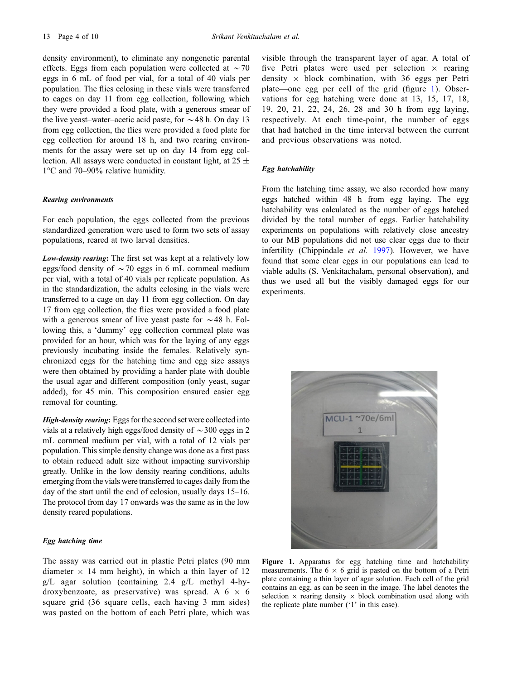density environment), to eliminate any nongenetic parental effects. Eggs from each population were collected at  $\sim$  70 eggs in 6 mL of food per vial, for a total of 40 vials per population. The flies eclosing in these vials were transferred to cages on day 11 from egg collection, following which they were provided a food plate, with a generous smear of the live yeast–water–acetic acid paste, for  $\sim$  48 h. On day 13 from egg collection, the flies were provided a food plate for egg collection for around 18 h, and two rearing environments for the assay were set up on day 14 from egg collection. All assays were conducted in constant light, at  $25 \pm$  $1^{\circ}$ C and 70–90% relative humidity.

## Rearing environments

For each population, the eggs collected from the previous standardized generation were used to form two sets of assay populations, reared at two larval densities.

Low-density rearing: The first set was kept at a relatively low eggs/food density of  $\sim$  70 eggs in 6 mL cornmeal medium per vial, with a total of 40 vials per replicate population. As in the standardization, the adults eclosing in the vials were transferred to a cage on day 11 from egg collection. On day 17 from egg collection, the flies were provided a food plate with a generous smear of live yeast paste for  $\sim$  48 h. Following this, a 'dummy' egg collection cornmeal plate was provided for an hour, which was for the laying of any eggs previously incubating inside the females. Relatively synchronized eggs for the hatching time and egg size assays were then obtained by providing a harder plate with double the usual agar and different composition (only yeast, sugar added), for 45 min. This composition ensured easier egg removal for counting.

High-density rearing: Eggs for the second set were collected into vials at a relatively high eggs/food density of  $\sim$  300 eggs in 2 mL cornmeal medium per vial, with a total of 12 vials per population. This simple density change was done as a first pass to obtain reduced adult size without impacting survivorship greatly. Unlike in the low density rearing conditions, adults emerging from the vials were transferred to cages daily from the day of the start until the end of eclosion, usually days 15–16. The protocol from day 17 onwards was the same as in the low density reared populations.

## Egg hatching time

The assay was carried out in plastic Petri plates (90 mm diameter  $\times$  14 mm height), in which a thin layer of 12 g/L agar solution (containing 2.4 g/L methyl 4-hydroxybenzoate, as preservative) was spread. A  $6 \times 6$ square grid (36 square cells, each having 3 mm sides) was pasted on the bottom of each Petri plate, which was visible through the transparent layer of agar. A total of five Petri plates were used per selection  $\times$  rearing density  $\times$  block combination, with 36 eggs per Petri plate—one egg per cell of the grid (figure 1). Observations for egg hatching were done at 13, 15, 17, 18, 19, 20, 21, 22, 24, 26, 28 and 30 h from egg laying, respectively. At each time-point, the number of eggs that had hatched in the time interval between the current and previous observations was noted.

## Egg hatchability

From the hatching time assay, we also recorded how many eggs hatched within 48 h from egg laying. The egg hatchability was calculated as the number of eggs hatched divided by the total number of eggs. Earlier hatchability experiments on populations with relatively close ancestry to our MB populations did not use clear eggs due to their infertility (Chippindale *et al.* 1997). However, we have found that some clear eggs in our populations can lead to viable adults (S. Venkitachalam, personal observation), and thus we used all but the visibly damaged eggs for our experiments.



Figure 1. Apparatus for egg hatching time and hatchability measurements. The  $6 \times 6$  grid is pasted on the bottom of a Petri plate containing a thin layer of agar solution. Each cell of the grid contains an egg, as can be seen in the image. The label denotes the selection  $\times$  rearing density  $\times$  block combination used along with the replicate plate number ('1' in this case).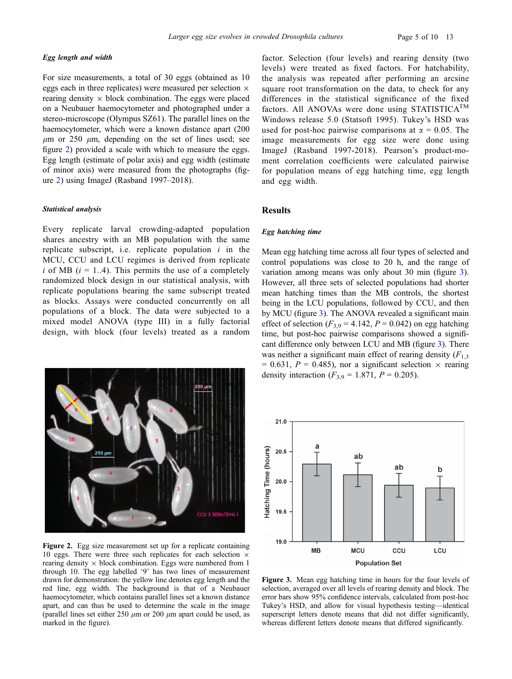For size measurements, a total of 30 eggs (obtained as 10 eggs each in three replicates) were measured per selection  $\times$ rearing density  $\times$  block combination. The eggs were placed on a Neubauer haemocytometer and photographed under a stereo-microscope (Olympus SZ61). The parallel lines on the haemocytometer, which were a known distance apart (200  $\mu$ m or 250  $\mu$ m, depending on the set of lines used; see figure 2) provided a scale with which to measure the eggs. Egg length (estimate of polar axis) and egg width (estimate of minor axis) were measured from the photographs (figure 2) using ImageJ (Rasband 1997–2018).

#### Statistical analysis

Every replicate larval crowding-adapted population shares ancestry with an MB population with the same replicate subscript, i.e. replicate population  $i$  in the MCU, CCU and LCU regimes is derived from replicate i of MB  $(i = 1..4)$ . This permits the use of a completely randomized block design in our statistical analysis, with replicate populations bearing the same subscript treated as blocks. Assays were conducted concurrently on all populations of a block. The data were subjected to a mixed model ANOVA (type III) in a fully factorial design, with block (four levels) treated as a random



Figure 2. Egg size measurement set up for a replicate containing 10 eggs. There were three such replicates for each selection  $\times$ rearing density  $\times$  block combination. Eggs were numbered from 1 through 10. The egg labelled '9' has two lines of measurement drawn for demonstration: the yellow line denotes egg length and the red line, egg width. The background is that of a Neubauer haemocytometer, which contains parallel lines set a known distance apart, and can thus be used to determine the scale in the image (parallel lines set either 250  $\mu$ m or 200  $\mu$ m apart could be used, as marked in the figure).

factor. Selection (four levels) and rearing density (two levels) were treated as fixed factors. For hatchability, the analysis was repeated after performing an arcsine square root transformation on the data, to check for any differences in the statistical significance of the fixed factors. All ANOVAs were done using STATISTICA<sup>TM</sup> Windows release 5.0 (Statsoft 1995). Tukey's HSD was used for post-hoc pairwise comparisons at  $\alpha = 0.05$ . The image measurements for egg size were done using ImageJ (Rasband 1997-2018). Pearson's product-moment correlation coefficients were calculated pairwise for population means of egg hatching time, egg length and egg width.

# **Results**

## Egg hatching time

Mean egg hatching time across all four types of selected and control populations was close to 20 h, and the range of variation among means was only about 30 min (figure 3). However, all three sets of selected populations had shorter mean hatching times than the MB controls, the shortest being in the LCU populations, followed by CCU, and then by MCU (figure 3). The ANOVA revealed a significant main effect of selection ( $F_{3,9} = 4.142$ ,  $P = 0.042$ ) on egg hatching time, but post-hoc pairwise comparisons showed a significant difference only between LCU and MB (figure 3). There was neither a significant main effect of rearing density  $(F_{1,3})$ = 0.631,  $P = 0.485$ ), nor a significant selection  $\times$  rearing density interaction ( $F_{3,9} = 1.871$ ,  $P = 0.205$ ).



Figure 3. Mean egg hatching time in hours for the four levels of selection, averaged over all levels of rearing density and block. The error bars show 95% confidence intervals, calculated from post-hoc Tukey's HSD, and allow for visual hypothesis testing—identical superscript letters denote means that did not differ significantly, whereas different letters denote means that differed significantly.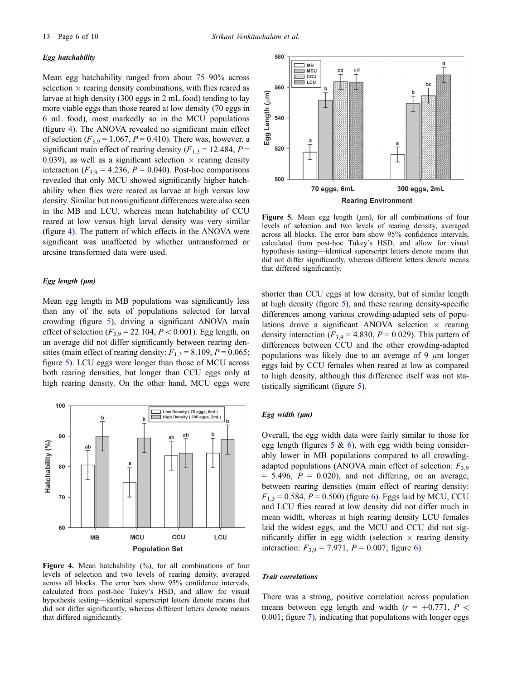#### Egg hatchability

Mean egg hatchability ranged from about 75–90% across selection  $\times$  rearing density combinations, with flies reared as larvae at high density (300 eggs in 2 mL food) tending to lay more viable eggs than those reared at low density (70 eggs in 6 mL food), most markedly so in the MCU populations (figure 4). The ANOVA revealed no significant main effect of selection ( $F_{3,9} = 1.067$ ,  $P = 0.410$ ). There was, however, a significant main effect of rearing density ( $F_{1,3} = 12.484$ ,  $P =$ 0.039), as well as a significant selection  $\times$  rearing density interaction ( $F_{3,9} = 4.236$ ,  $P = 0.040$ ). Post-hoc comparisons revealed that only MCU showed significantly higher hatchability when flies were reared as larvae at high versus low density. Similar but nonsignificant differences were also seen in the MB and LCU, whereas mean hatchability of CCU reared at low versus high larval density was very similar (figure 4). The pattern of which effects in the ANOVA were significant was unaffected by whether untransformed or arcsine transformed data were used.

## Egg length  $(\mu m)$

Mean egg length in MB populations was significantly less than any of the sets of populations selected for larval crowding (figure 5), driving a significant ANOVA main effect of selection  $(F_{3,9} = 22.104, P < 0.001)$ . Egg length, on an average did not differ significantly between rearing densities (main effect of rearing density:  $F_{1,3} = 8.109$ ,  $P = 0.065$ ; figure 5). LCU eggs were longer than those of MCU across both rearing densities, but longer than CCU eggs only at high rearing density. On the other hand, MCU eggs were



Figure 4. Mean hatchability (%), for all combinations of four levels of selection and two levels of rearing density, averaged across all blocks. The error bars show 95% confidence intervals, calculated from post-hoc Tukey's HSD, and allow for visual hypothesis testing—identical superscript letters denote means that did not differ significantly, whereas different letters denote means that differed significantly.



Figure 5. Mean egg length  $(\mu m)$ , for all combinations of four levels of selection and two levels of rearing density, averaged across all blocks. The error bars show 95% confidence intervals, calculated from post-hoc Tukey's HSD, and allow for visual hypothesis testing—identical superscript letters denote means that did not differ significantly, whereas different letters denote means that differed significantly.

shorter than CCU eggs at low density, but of similar length at high density (figure 5), and these rearing density-specific differences among various crowding-adapted sets of populations drove a significant ANOVA selection  $\times$  rearing density interaction ( $F_{3,9} = 4.830$ ,  $P = 0.029$ ). This pattern of differences between CCU and the other crowding-adapted populations was likely due to an average of 9  $\mu$ m longer eggs laid by CCU females when reared at low as compared to high density, although this difference itself was not statistically significant (figure 5).

## Egg width  $(\mu m)$

Overall, the egg width data were fairly similar to those for egg length (figures  $5 \& 6$ ), with egg width being considerably lower in MB populations compared to all crowdingadapted populations (ANOVA main effect of selection:  $F_{3,9}$ )  $= 5.496$ ,  $P = 0.020$ , and not differing, on an average, between rearing densities (main effect of rearing density:  $F_{1,3} = 0.584, P = 0.500$  (figure 6). Eggs laid by MCU, CCU and LCU flies reared at low density did not differ much in mean width, whereas at high rearing density LCU females laid the widest eggs, and the MCU and CCU did not significantly differ in egg width (selection  $\times$  rearing density interaction:  $F_{3,9} = 7.971$ ,  $P = 0.007$ ; figure 6).

#### Trait correlations

There was a strong, positive correlation across population means between egg length and width ( $r = +0.771$ ,  $P \le$ 0.001; figure 7), indicating that populations with longer eggs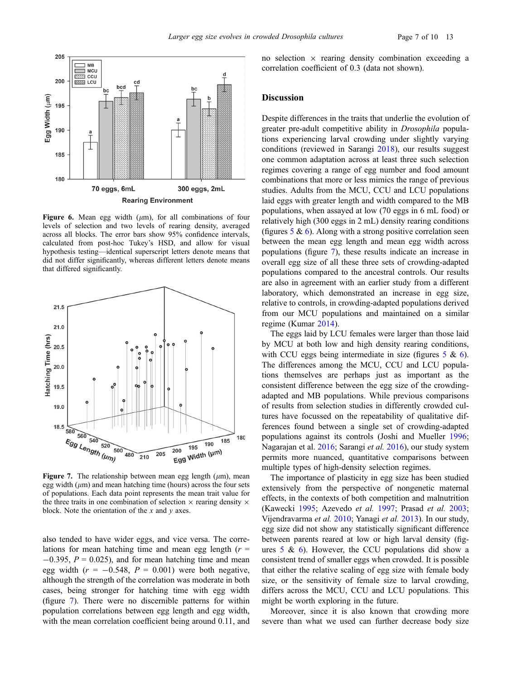

Figure 6. Mean egg width  $(\mu m)$ , for all combinations of four levels of selection and two levels of rearing density, averaged across all blocks. The error bars show 95% confidence intervals, calculated from post-hoc Tukey's HSD, and allow for visual hypothesis testing—identical superscript letters denote means that did not differ significantly, whereas different letters denote means that differed significantly.



Figure 7. The relationship between mean egg length  $(\mu m)$ , mean egg width  $(\mu m)$  and mean hatching time (hours) across the four sets of populations. Each data point represents the mean trait value for the three traits in one combination of selection  $\times$  rearing density  $\times$ block. Note the orientation of the  $x$  and  $y$  axes.

also tended to have wider eggs, and vice versa. The correlations for mean hatching time and mean egg length  $(r =$  $-0.395$ ,  $P = 0.025$ ), and for mean hatching time and mean egg width  $(r = -0.548, P = 0.001)$  were both negative, although the strength of the correlation was moderate in both cases, being stronger for hatching time with egg width (figure 7). There were no discernible patterns for within population correlations between egg length and egg width, with the mean correlation coefficient being around 0.11, and no selection  $\times$  rearing density combination exceeding a correlation coefficient of 0.3 (data not shown).

# Discussion

Despite differences in the traits that underlie the evolution of greater pre-adult competitive ability in Drosophila populations experiencing larval crowding under slightly varying conditions (reviewed in Sarangi 2018), our results suggest one common adaptation across at least three such selection regimes covering a range of egg number and food amount combinations that more or less mimics the range of previous studies. Adults from the MCU, CCU and LCU populations laid eggs with greater length and width compared to the MB populations, when assayed at low (70 eggs in 6 mL food) or relatively high (300 eggs in 2 mL) density rearing conditions (figures  $5 \& 6$ ). Along with a strong positive correlation seen between the mean egg length and mean egg width across populations (figure 7), these results indicate an increase in overall egg size of all these three sets of crowding-adapted populations compared to the ancestral controls. Our results are also in agreement with an earlier study from a different laboratory, which demonstrated an increase in egg size, relative to controls, in crowding-adapted populations derived from our MCU populations and maintained on a similar regime (Kumar 2014).

The eggs laid by LCU females were larger than those laid by MCU at both low and high density rearing conditions, with CCU eggs being intermediate in size (figures  $5 \& 6$ ). The differences among the MCU, CCU and LCU populations themselves are perhaps just as important as the consistent difference between the egg size of the crowdingadapted and MB populations. While previous comparisons of results from selection studies in differently crowded cultures have focussed on the repeatability of qualitative differences found between a single set of crowding-adapted populations against its controls (Joshi and Mueller 1996; Nagarajan et al. 2016; Sarangi et al. 2016), our study system permits more nuanced, quantitative comparisons between multiple types of high-density selection regimes.

The importance of plasticity in egg size has been studied extensively from the perspective of nongenetic maternal effects, in the contexts of both competition and malnutrition (Kawecki 1995; Azevedo et al. 1997; Prasad et al. 2003; Vijendravarma et al. 2010; Yanagi et al. 2013). In our study, egg size did not show any statistically significant difference between parents reared at low or high larval density (figures  $5 \& 6$ ). However, the CCU populations did show a consistent trend of smaller eggs when crowded. It is possible that either the relative scaling of egg size with female body size, or the sensitivity of female size to larval crowding, differs across the MCU, CCU and LCU populations. This might be worth exploring in the future.

Moreover, since it is also known that crowding more severe than what we used can further decrease body size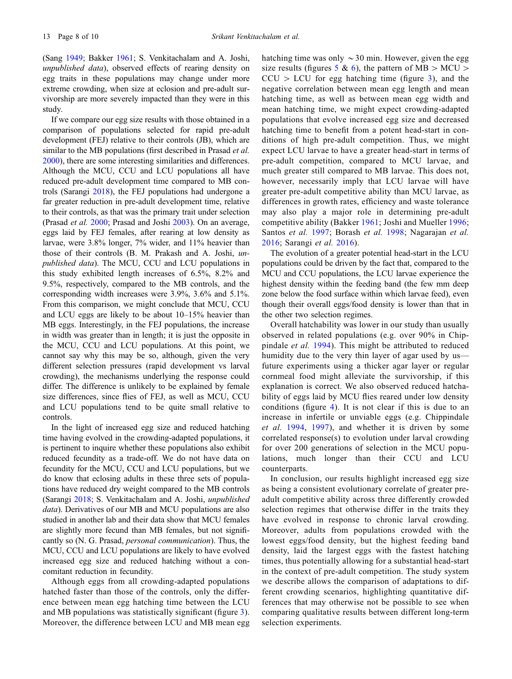(Sang 1949; Bakker 1961; S. Venkitachalam and A. Joshi, unpublished data), observed effects of rearing density on egg traits in these populations may change under more extreme crowding, when size at eclosion and pre-adult survivorship are more severely impacted than they were in this study.

If we compare our egg size results with those obtained in a comparison of populations selected for rapid pre-adult development (FEJ) relative to their controls (JB), which are similar to the MB populations (first described in Prasad *et al.*) 2000), there are some interesting similarities and differences. Although the MCU, CCU and LCU populations all have reduced pre-adult development time compared to MB controls (Sarangi 2018), the FEJ populations had undergone a far greater reduction in pre-adult development time, relative to their controls, as that was the primary trait under selection (Prasad et al. 2000; Prasad and Joshi 2003). On an average, eggs laid by FEJ females, after rearing at low density as larvae, were 3.8% longer, 7% wider, and 11% heavier than those of their controls (B. M. Prakash and A. Joshi, unpublished data). The MCU, CCU and LCU populations in this study exhibited length increases of 6.5%, 8.2% and 9.5%, respectively, compared to the MB controls, and the corresponding width increases were 3.9%, 3.6% and 5.1%. From this comparison, we might conclude that MCU, CCU and LCU eggs are likely to be about 10–15% heavier than MB eggs. Interestingly, in the FEJ populations, the increase in width was greater than in length; it is just the opposite in the MCU, CCU and LCU populations. At this point, we cannot say why this may be so, although, given the very different selection pressures (rapid development vs larval crowding), the mechanisms underlying the response could differ. The difference is unlikely to be explained by female size differences, since flies of FEJ, as well as MCU, CCU and LCU populations tend to be quite small relative to controls.

In the light of increased egg size and reduced hatching time having evolved in the crowding-adapted populations, it is pertinent to inquire whether these populations also exhibit reduced fecundity as a trade-off. We do not have data on fecundity for the MCU, CCU and LCU populations, but we do know that eclosing adults in these three sets of populations have reduced dry weight compared to the MB controls (Sarangi 2018; S. Venkitachalam and A. Joshi, unpublished data). Derivatives of our MB and MCU populations are also studied in another lab and their data show that MCU females are slightly more fecund than MB females, but not significantly so (N. G. Prasad, personal communication). Thus, the MCU, CCU and LCU populations are likely to have evolved increased egg size and reduced hatching without a concomitant reduction in fecundity.

Although eggs from all crowding-adapted populations hatched faster than those of the controls, only the difference between mean egg hatching time between the LCU and MB populations was statistically significant (figure 3). Moreover, the difference between LCU and MB mean egg hatching time was only  $\sim$  30 min. However, given the egg size results (figures 5 & 6), the pattern of MB  $>$  MCU  $>$  $CCU > LCU$  for egg hatching time (figure 3), and the negative correlation between mean egg length and mean hatching time, as well as between mean egg width and mean hatching time, we might expect crowding-adapted populations that evolve increased egg size and decreased hatching time to benefit from a potent head-start in conditions of high pre-adult competition. Thus, we might expect LCU larvae to have a greater head-start in terms of pre-adult competition, compared to MCU larvae, and much greater still compared to MB larvae. This does not, however, necessarily imply that LCU larvae will have greater pre-adult competitive ability than MCU larvae, as differences in growth rates, efficiency and waste tolerance may also play a major role in determining pre-adult competitive ability (Bakker 1961; Joshi and Mueller 1996; Santos et al. 1997; Borash et al. 1998; Nagarajan et al. 2016; Sarangi et al. 2016).

The evolution of a greater potential head-start in the LCU populations could be driven by the fact that, compared to the MCU and CCU populations, the LCU larvae experience the highest density within the feeding band (the few mm deep zone below the food surface within which larvae feed), even though their overall eggs/food density is lower than that in the other two selection regimes.

Overall hatchability was lower in our study than usually observed in related populations (e.g. over 90% in Chippindale et al. 1994). This might be attributed to reduced humidity due to the very thin layer of agar used by us future experiments using a thicker agar layer or regular cornmeal food might alleviate the survivorship, if this explanation is correct. We also observed reduced hatchability of eggs laid by MCU flies reared under low density conditions (figure 4). It is not clear if this is due to an increase in infertile or unviable eggs (e.g. Chippindale et al. 1994, 1997), and whether it is driven by some correlated response(s) to evolution under larval crowding for over 200 generations of selection in the MCU populations, much longer than their CCU and LCU counterparts.

In conclusion, our results highlight increased egg size as being a consistent evolutionary correlate of greater preadult competitive ability across three differently crowded selection regimes that otherwise differ in the traits they have evolved in response to chronic larval crowding. Moreover, adults from populations crowded with the lowest eggs/food density, but the highest feeding band density, laid the largest eggs with the fastest hatching times, thus potentially allowing for a substantial head-start in the context of pre-adult competition. The study system we describe allows the comparison of adaptations to different crowding scenarios, highlighting quantitative differences that may otherwise not be possible to see when comparing qualitative results between different long-term selection experiments.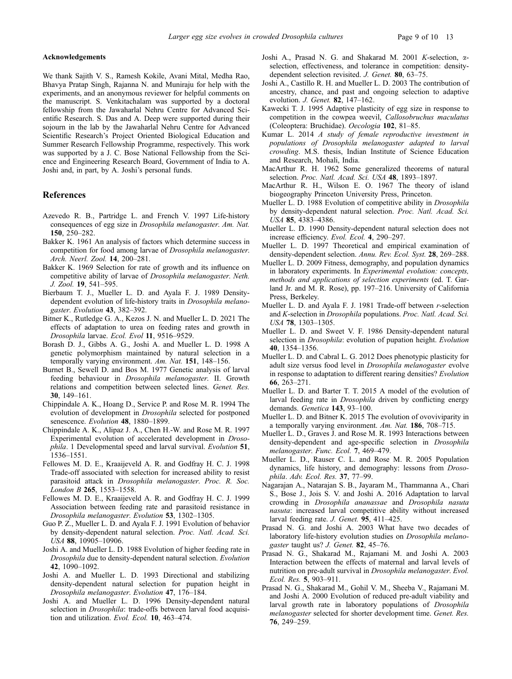## Acknowledgements

We thank Sajith V. S., Ramesh Kokile, Avani Mital, Medha Rao, Bhavya Pratap Singh, Rajanna N. and Muniraju for help with the experiments, and an anonymous reviewer for helpful comments on the manuscript. S. Venkitachalam was supported by a doctoral fellowship from the Jawaharlal Nehru Centre for Advanced Scientific Research. S. Das and A. Deep were supported during their sojourn in the lab by the Jawaharlal Nehru Centre for Advanced Scientific Research's Project Oriented Biological Education and Summer Research Fellowship Programme, respectively. This work was supported by a J. C. Bose National Fellowship from the Science and Engineering Research Board, Government of India to A. Joshi and, in part, by A. Joshi's personal funds.

## References

- Azevedo R. B., Partridge L. and French V. 1997 Life-history consequences of egg size in Drosophila melanogaster. Am. Nat. 150, 250–282.
- Bakker K. 1961 An analysis of factors which determine success in competition for food among larvae of Drosophila melanogaster. Arch. Neerl. Zool. 14, 200–281.
- Bakker K. 1969 Selection for rate of growth and its influence on competitive ability of larvae of Drosophila melanogaster. Neth. J. Zool. 19, 541–595.
- Bierbaum T. J., Mueller L. D. and Ayala F. J. 1989 Densitydependent evolution of life-history traits in Drosophila melanogaster. Evolution 43, 382–392.
- Bitner K., Rutledge G. A., Kezos J. N. and Mueller L. D. 2021 The effects of adaptation to urea on feeding rates and growth in Drosophila larvae. Ecol. Evol 11, 9516–9529.
- Borash D. J., Gibbs A. G., Joshi A. and Mueller L. D. 1998 A genetic polymorphism maintained by natural selection in a temporally varying environment. Am. Nat. 151, 148-156.
- Burnet B., Sewell D. and Bos M. 1977 Genetic analysis of larval feeding behaviour in Drosophila melanogaster. II. Growth relations and competition between selected lines. Genet. Res. 30, 149–161.
- Chippindale A. K., Hoang D., Service P. and Rose M. R. 1994 The evolution of development in Drosophila selected for postponed senescence. Evolution 48, 1880-1899.
- Chippindale A. K., Alipaz J. A., Chen H.-W. and Rose M. R. 1997 Experimental evolution of accelerated development in Drosophila. 1 Developmental speed and larval survival. Evolution 51, 1536–1551.
- Fellowes M. D. E., Kraaijeveld A. R. and Godfray H. C. J. 1998 Trade-off associated with selection for increased ability to resist parasitoid attack in Drosophila melanogaster. Proc. R. Soc. London B 265, 1553–1558.
- Fellowes M. D. E., Kraaijeveld A. R. and Godfray H. C. J. 1999 Association between feeding rate and parasitoid resistance in Drosophila melanogaster. Evolution 53, 1302–1305.
- Guo P. Z., Mueller L. D. and Ayala F. J. 1991 Evolution of behavior by density-dependent natural selection. Proc. Natl. Acad. Sci. USA 88, 10905–10906.
- Joshi A. and Mueller L. D. 1988 Evolution of higher feeding rate in Drosophila due to density-dependent natural selection. Evolution 42, 1090–1092.
- Joshi A. and Mueller L. D. 1993 Directional and stabilizing density-dependent natural selection for pupation height in Drosophila melanogaster. Evolution 47, 176–184.
- Joshi A. and Mueller L. D. 1996 Density-dependent natural selection in Drosophila: trade-offs between larval food acquisition and utilization. Evol. Ecol. 10, 463–474.
- Joshi A., Prasad N. G. and Shakarad M. 2001 K-selection,  $\alpha$ selection, effectiveness, and tolerance in competition: densitydependent selection revisited. J. Genet. 80, 63–75.
- Joshi A., Castillo R. H. and Mueller L. D. 2003 The contribution of ancestry, chance, and past and ongoing selection to adaptive evolution. J. Genet. 82, 147–162.
- Kawecki T. J. 1995 Adaptive plasticity of egg size in response to competition in the cowpea weevil, Callosobruchus maculatus (Coleoptera: Bruchidae). Oecologia 102, 81–85.
- Kumar L. 2014 A study of female reproductive investment in populations of Drosophila melanogaster adapted to larval crowding. M.S. thesis, Indian Institute of Science Education and Research, Mohali, India.
- MacArthur R. H. 1962 Some generalized theorems of natural selection. Proc. Natl. Acad. Sci. USA 48, 1893-1897.
- MacArthur R. H., Wilson E. O. 1967 The theory of island biogeography Princeton University Press, Princeton.
- Mueller L. D. 1988 Evolution of competitive ability in Drosophila by density-dependent natural selection. Proc. Natl. Acad. Sci. USA 85, 4383–4386.
- Mueller L. D. 1990 Density-dependent natural selection does not increase efficiency. Evol. Ecol. 4, 290–297.
- Mueller L. D. 1997 Theoretical and empirical examination of density-dependent selection. Annu. Rev. Ecol. Syst. 28, 269–288.
- Mueller L. D. 2009 Fitness, demography, and population dynamics in laboratory experiments. In Experimental evolution: concepts, methods and applications of selection experiments (ed. T. Garland Jr. and M. R. Rose), pp. 197–216. University of California Press, Berkeley.
- Mueller L. D. and Ayala F. J. 1981 Trade-off between r-selection and K-selection in Drosophila populations. Proc. Natl. Acad. Sci. USA 78, 1303–1305.
- Mueller L. D. and Sweet V. F. 1986 Density-dependent natural selection in *Drosophila*: evolution of pupation height. Evolution 40, 1354–1356.
- Mueller L. D. and Cabral L. G. 2012 Does phenotypic plasticity for adult size versus food level in Drosophila melanogaster evolve in response to adaptation to different rearing densities? Evolution 66, 263–271.
- Mueller L. D. and Barter T. T. 2015 A model of the evolution of larval feeding rate in *Drosophila* driven by conflicting energy demands. Genetica 143, 93–100.
- Mueller L. D. and Bitner K. 2015 The evolution of ovoviviparity in a temporally varying environment. Am. Nat. 186, 708–715.
- Mueller L. D., Graves J. and Rose M. R. 1993 Interactions between density-dependent and age-specific selection in Drosophila melanogaster. Func. Ecol. 7, 469–479.
- Mueller L. D., Rauser C. L. and Rose M. R. 2005 Population dynamics, life history, and demography: lessons from Drosophila. Adv. Ecol. Res. 37, 77–99.
- Nagarajan A., Natarajan S. B., Jayaram M., Thammanna A., Chari S., Bose J., Jois S. V. and Joshi A. 2016 Adaptation to larval crowding in Drosophila ananassae and Drosophila nasuta nasuta: increased larval competitive ability without increased larval feeding rate. J. Genet. 95, 411–425.
- Prasad N. G. and Joshi A. 2003 What have two decades of laboratory life-history evolution studies on Drosophila melanogaster taught us? J. Genet. 82, 45–76.
- Prasad N. G., Shakarad M., Rajamani M. and Joshi A. 2003 Interaction between the effects of maternal and larval levels of nutrition on pre-adult survival in Drosophila melanogaster. Evol. Ecol. Res. 5, 903–911.
- Prasad N. G., Shakarad M., Gohil V. M., Sheeba V., Rajamani M. and Joshi A. 2000 Evolution of reduced pre-adult viability and larval growth rate in laboratory populations of Drosophila melanogaster selected for shorter development time. Genet. Res. 76, 249–259.